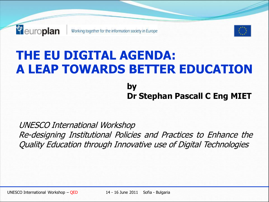

# **THE EU DIGITAL AGENDA: A LEAP TOWARDS BETTER EDUCATION by**

**Dr Stephan Pascall C Eng MIET**

UNESCO International Workshop Re-designing Institutional Policies and Practices to Enhance the Quality Education through Innovative use of Digital Technologies

UNESCO International Workshop – QED 14 - 16 June 2011 Sofia - Bulgaria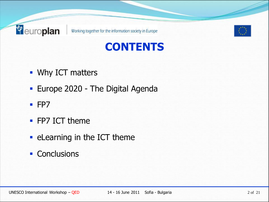





- **Why ICT matters**
- **Europe 2020 The Digital Agenda**
- $FPT$
- **FP7 ICT theme**
- **Example 10 Fearning in the ICT theme**
- **Conclusions**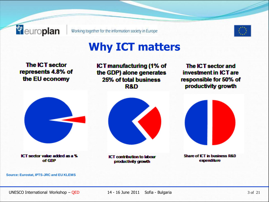



#### **Why ICT matters**

**The ICT sector** represents 4.8% of the EU economy

**ICT manufacturing (1% of** the GDP) alone generates 25% of total business **R&D** 

The ICT sector and investment in ICT are responsible for 50% of productivity growth



ICT sector value added as a % of GDP

**ICT contribution to Isbour** productivity growth



**Source: Eurostat, IPTS-JRC and EU KLEMS**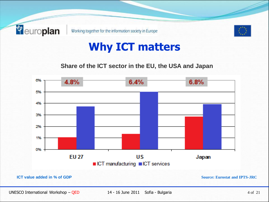



#### **Why ICT matters**

**Share of the ICT sector in the EU, the USA and Japan**

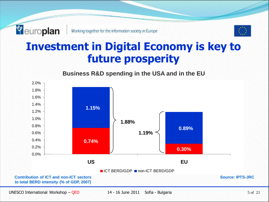

#### **Investment in Digital Economy is key to future prosperity**



**Business R&D spending in the USA and in the EU**

UNESCO International Workshop – QED 14 - 16 June 2011 Sofia - Bulgaria 5 of 21

**<sup>***e* europlan</sup>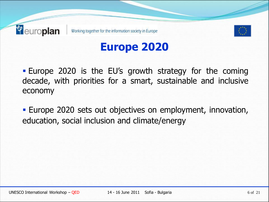



## **Europe 2020**

 Europe 2020 is the EU's growth strategy for the coming decade, with priorities for a smart, sustainable and inclusive economy

 Europe 2020 sets out objectives on employment, innovation, education, social inclusion and climate/energy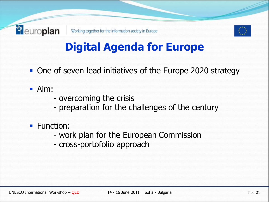

# **Digital Agenda for Europe**

- One of seven lead initiatives of the Europe 2020 strategy
- Aim:

- overcoming the crisis
- preparation for the challenges of the century
- **Function:** 
	- work plan for the European Commission
	- cross-portofolio approach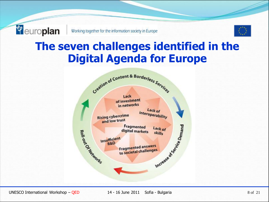

# **The seven challenges identified in the Digital Agenda for Europe**

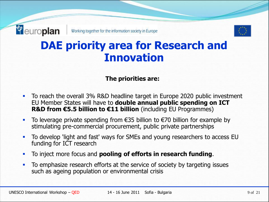

## **DAE priority area for Research and Innovation**

#### **The priorities are:**

- To reach the overall 3% R&D headline target in Europe 2020 public investment EU Member States will have to **double annual public spending on ICT R&D from €5.5 billion to €11 billion** (including EU Programmes)
- To leverage private spending from  $€35$  billion to  $€70$  billion for example by stimulating pre-commercial procurement, public private partnerships
- To develop 'light and fast' ways for SMEs and young researchers to access EU funding for ICT research
- To inject more focus and **pooling of efforts in research funding**.
- To emphasize research efforts at the service of society by targeting issues such as ageing population or environmental crisis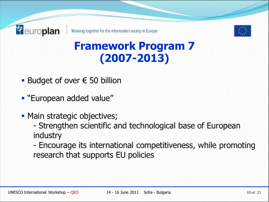



## **Framework Program 7 (2007-2013)**

- Budget of over  $\epsilon$  50 billion
- **European added value"**
- Main strategic objectives;
	- Strengthen scientific and technological base of European industry
	- Encourage its international competitiveness, while promoting research that supports EU policies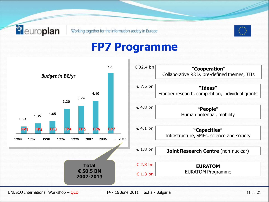**<sup>***e* europlan</sup>



#### **FP7 Programme**



UNESCO International Workshop – QED 14 - 16 June 2011 Sofia - Bulgaria 11 of 21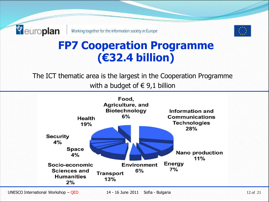*<sup>e</sup>* europlan



## **FP7 Cooperation Programme (€32.4 billion)**

The ICT thematic area is the largest in the Cooperation Programme with a budget of  $\in$  9,1 billion

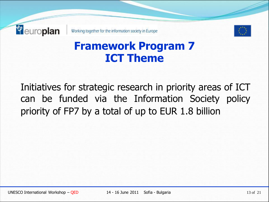

#### **Framework Program 7 ICT Theme**

Initiatives for strategic research in priority areas of ICT can be funded via the Information Society policy priority of FP7 by a total of up to EUR 1.8 billion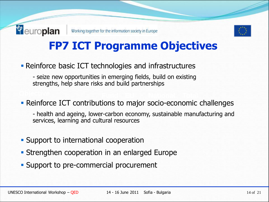

# **FP7 ICT Programme Objectives**

**Reinforce basic ICT technologies and infrastructures** 

- seize new opportunities in emerging fields, build on existing strengths, help share risks and build partnerships

**- Reinforce ICT contributions to major socio-economic challenges** 

- health and ageing, lower-carbon economy, sustainable manufacturing and services, learning and cultural resources

- **Support to international cooperation**
- **Strengthen cooperation in an enlarged Europe**
- **Support to pre-commercial procurement**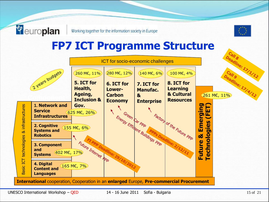

#### **FP7 ICT Programme Structure**



**<sup><sup>***e***</sup>** europlan</sup>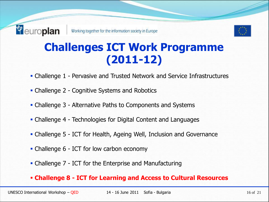

## **Challenges ICT Work Programme (2011-12)**

- Challenge 1 Pervasive and Trusted Network and Service Infrastructures
- Challenge 2 Cognitive Systems and Robotics
- Challenge 3 Alternative Paths to Components and Systems
- Challenge 4 Technologies for Digital Content and Languages
- Challenge 5 ICT for Health, Ageing Well, Inclusion and Governance
- Challenge 6 ICT for low carbon economy
- Challenge 7 ICT for the Enterprise and Manufacturing

#### **Challenge 8 - ICT for Learning and Access to Cultural Resources**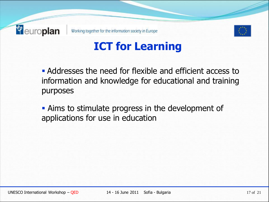



## **ICT for Learning**

 Addresses the need for flexible and efficient access to information and knowledge for educational and training purposes

 Aims to stimulate progress in the development of applications for use in education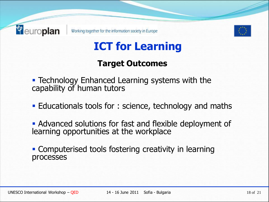



# **ICT for Learning**

#### **Target Outcomes**

- **Technology Enhanced Learning systems with the** capability of human tutors
- **Educationals tools for : science, technology and maths**
- Advanced solutions for fast and flexible deployment of learning opportunities at the workplace
- **Computerised tools fostering creativity in learning** processes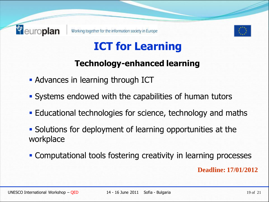



# **ICT for Learning**

#### **Technology-enhanced learning**

- **Advances in learning through ICT**
- **Systems endowed with the capabilities of human tutors**
- Educational technologies for science, technology and maths
- Solutions for deployment of learning opportunities at the workplace
- Computational tools fostering creativity in learning processes **Deadline: 17/01/2012**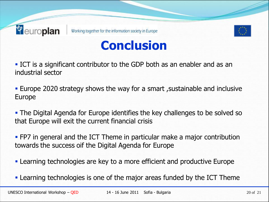



# **Conclusion**

 ICT is a significant contributor to the GDP both as an enabler and as an industrial sector

 Europe 2020 strategy shows the way for a smart ,sustainable and inclusive Europe

 The Digital Agenda for Europe identifies the key challenges to be solved so that Europe will exit the current financial crisis

 FP7 in general and the ICT Theme in particular make a major contribution towards the success oif the Digital Agenda for Europe

Learning technologies are key to a more efficient and productive Europe

Learning technologies is one of the major areas funded by the ICT Theme